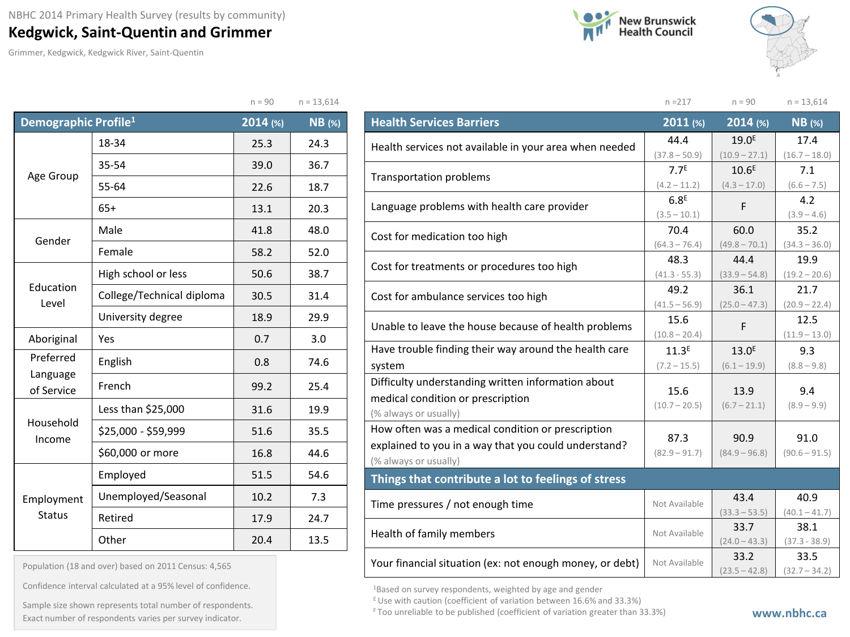## **Kedgwick, Saint-Quentin and Grimmer**

Grimmer, Kedgwick, Kedgwick River, Saint-Quentin





n =217 n = 90 n = 13,614

|                                  |                           | $n = 90$ | $n = 13,614$  |
|----------------------------------|---------------------------|----------|---------------|
| Demographic Profile <sup>1</sup> |                           | 2014 (%) | <b>NB</b> (%) |
|                                  | 18-34                     | 25.3     | 24.3          |
|                                  | 35-54                     | 39.0     | 36.7          |
| Age Group                        | 55-64                     | 22.6     | 18.7          |
|                                  | $65+$                     | 13.1     | 20.3          |
|                                  | Male                      | 41.8     | 48.0          |
| Gender                           | Female                    | 58.2     | 52.0          |
|                                  | High school or less       | 50.6     | 38.7          |
| Education<br>Level               | College/Technical diploma | 30.5     | 31.4          |
|                                  | University degree         | 18.9     | 29.9          |
| Aboriginal                       | Yes                       |          | 3.0           |
| Preferred                        | English                   | 0.8      | 74.6          |
| Language<br>of Service           | French                    | 99.2     | 25.4          |
|                                  | Less than \$25,000        | 31.6     | 19.9          |
| Household<br>Income              | \$25,000 - \$59,999       | 51.6     | 35.5          |
|                                  | \$60,000 or more          | 16.8     | 44.6          |
|                                  | Employed                  | 51.5     | 54.6          |
| Employment                       | Unemployed/Seasonal       | 10.2     | 7.3           |
| <b>Status</b>                    | Retired                   | 17.9     | 24.7          |
|                                  | Other                     | 20.4     | 13.5          |

| <b>Health Services Barriers</b>                          | 2011 (%)          | $2014$ (%)        | <b>NB</b> (%)   |
|----------------------------------------------------------|-------------------|-------------------|-----------------|
| Health services not available in your area when needed   | 44.4              | $19.0^{E}$        | 17.4            |
|                                                          | $(37.8 - 50.9)$   | $(10.9 - 27.1)$   | $(16.7 - 18.0)$ |
| <b>Transportation problems</b>                           | 7.7 <sup>E</sup>  | 10.6 <sup>E</sup> | 7.1             |
|                                                          | $(4.2 - 11.2)$    | $(4.3 - 17.0)$    | $(6.6 - 7.5)$   |
| Language problems with health care provider              | 6.8 <sup>E</sup>  | F                 | 4.2             |
|                                                          | $(3.5 - 10.1)$    |                   | $(3.9 - 4.6)$   |
| Cost for medication too high                             | 70.4              | 60.0              | 35.2            |
|                                                          | $(64.3 - 76.4)$   | $(49.8 - 70.1)$   | $(34.3 - 36.0)$ |
| Cost for treatments or procedures too high               | 48.3              | 44.4              | 19.9            |
|                                                          | $(41.3 - 55.3)$   | $(33.9 - 54.8)$   | $(19.2 - 20.6)$ |
| Cost for ambulance services too high                     | 49.2              | 36.1              | 21.7            |
|                                                          | $(41.5 - 56.9)$   | $(25.0 - 47.3)$   | $(20.9 - 22.4)$ |
| Unable to leave the house because of health problems     | 15.6              | F                 | 12.5            |
|                                                          | $(10.8 - 20.4)$   |                   | $(11.9 - 13.0)$ |
| Have trouble finding their way around the health care    | 11.3 <sup>E</sup> | 13.0 <sup>E</sup> | 9.3             |
| system                                                   | $(7.2 - 15.5)$    | $(6.1 - 19.9)$    | $(8.8 - 9.8)$   |
| Difficulty understanding written information about       | 15.6              | 13.9              | 9.4             |
| medical condition or prescription                        | $(10.7 - 20.5)$   | $(6.7 - 21.1)$    | $(8.9 - 9.9)$   |
| (% always or usually)                                    |                   |                   |                 |
| How often was a medical condition or prescription        |                   |                   |                 |
| explained to you in a way that you could understand?     | 87.3              | 90.9              | 91.0            |
| (% always or usually)                                    | $(82.9 - 91.7)$   | $(84.9 - 96.8)$   | $(90.6 - 91.5)$ |
| Things that contribute a lot to feelings of stress       |                   |                   |                 |
| Time pressures / not enough time                         | Not Available     | 43.4              | 40.9            |
|                                                          |                   | $(33.3 - 53.5)$   | $(40.1 - 41.7)$ |
| Health of family members                                 | Not Available     | 33.7              | 38.1            |
|                                                          |                   | $(24.0 - 43.3)$   | $(37.3 - 38.9)$ |
| Your financial situation (ex: not enough money, or debt) | Not Available     | 33.2              | 33.5            |
|                                                          |                   | $(23.5 - 42.8)$   | $(32.7 - 34.2)$ |

<sup>1</sup>Based on survey respondents, weighted by age and gender

E Use with caution (coefficient of variation between 16.6% and 33.3%)

Population (18 and over) based on 2011 Census: 4,565

Confidence interval calculated at a 95% level of confidence.

Exact number of respondents varies per survey indicator.<br>Exact number of respondents varies per survey indicator. Sample size shown represents total number of respondents.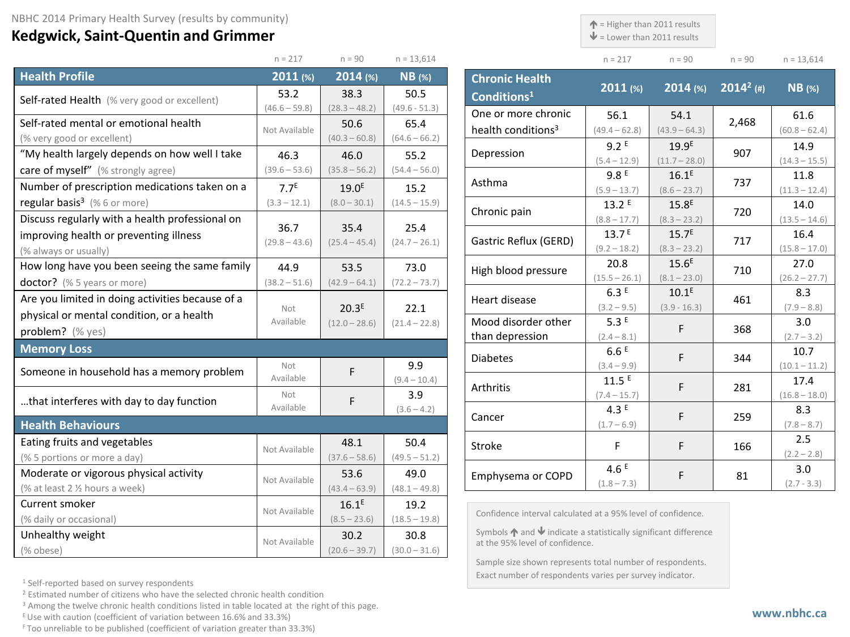## **Kedgwick, Saint-Quentin and Grimmer**

 $\uparrow$  = Higher than 2011 results

 $\blacklozenge$  = Lower than 2011 results

| $n = 217$ | $n = 90$ | $n = 90$ | $n = 13,614$ |
|-----------|----------|----------|--------------|

|                                                  | $n = 217$               | $n = 90$                | $n = 13,614$            |
|--------------------------------------------------|-------------------------|-------------------------|-------------------------|
| <b>Health Profile</b>                            | $2011$ (%)              | 2014 (%)                | $NB$ (%)                |
| Self-rated Health (% very good or excellent)     | 53.2                    | 38.3                    | 50.5                    |
|                                                  | $(46.6 - 59.8)$         | $(28.3 - 48.2)$         | $(49.6 - 51.3)$         |
| Self-rated mental or emotional health            | Not Available           | 50.6                    | 65.4                    |
| (% very good or excellent)                       |                         | $(40.3 - 60.8)$         | $(64.6 - 66.2)$         |
| "My health largely depends on how well I take    | 46.3                    | 46.0                    | 55.2                    |
| care of myself" (% strongly agree)               | $(39.6 - 53.6)$         | $(35.8 - 56.2)$         | $(54.4 - 56.0)$         |
| Number of prescription medications taken on a    | 7.7 <sup>E</sup>        | 19.0 <sup>E</sup>       | 15.2                    |
| regular basis <sup>3</sup> (%6 or more)          | $(3.3 - 12.1)$          | $(8.0 - 30.1)$          | $(14.5 - 15.9)$         |
| Discuss regularly with a health professional on  |                         |                         |                         |
| improving health or preventing illness           | 36.7<br>$(29.8 - 43.6)$ | 35.4<br>$(25.4 - 45.4)$ | 25.4<br>$(24.7 - 26.1)$ |
| (% always or usually)                            |                         |                         |                         |
| How long have you been seeing the same family    | 44.9                    | 53.5                    | 73.0                    |
| doctor? (% 5 years or more)                      | $(38.2 - 51.6)$         | $(42.9 - 64.1)$         | $(72.2 - 73.7)$         |
| Are you limited in doing activities because of a |                         |                         |                         |
| physical or mental condition, or a health        | Not<br>Available        | 20.3 <sup>E</sup>       | 22.1                    |
| problem? (% yes)                                 |                         | $(12.0 - 28.6)$         | $(21.4 - 22.8)$         |
| <b>Memory Loss</b>                               |                         |                         |                         |
| Someone in household has a memory problem        | Not                     | F                       | 9.9                     |
|                                                  | Available               |                         | $(9.4 - 10.4)$          |
| that interferes with day to day function         | Not                     | F                       | 3.9                     |
|                                                  | Available               |                         | $(3.6 - 4.2)$           |
| <b>Health Behaviours</b>                         |                         |                         |                         |
| Eating fruits and vegetables                     | Not Available           | 48.1                    | 50.4                    |
| (% 5 portions or more a day)                     |                         | $(37.6 - 58.6)$         | $(49.5 - 51.2)$         |
| Moderate or vigorous physical activity           | Not Available           | 53.6                    | 49.0                    |
| (% at least 2 1/2 hours a week)                  |                         | $(43.4 - 63.9)$         | $(48.1 - 49.8)$         |
| Current smoker                                   | Not Available           | $16.1^E$                | 19.2                    |
| (% daily or occasional)                          |                         | $(8.5 - 23.6)$          | $(18.5 - 19.8)$         |
| Unhealthy weight                                 | Not Available           | 30.2                    | 30.8                    |
| (% obese)                                        |                         | $(20.6 - 39.7)$         | $(30.0 - 31.6)$         |

| <b>Chronic Health</b><br>Conditions <sup>1</sup> | $2011$ (%)      | $2014$ (%)        | $2014^2$ (#) | $NB$ (%)        |
|--------------------------------------------------|-----------------|-------------------|--------------|-----------------|
| One or more chronic                              | 56.1            | 54.1              | 2,468        | 61.6            |
| health conditions <sup>3</sup>                   | $(49.4 - 62.8)$ | $(43.9 - 64.3)$   |              | $(60.8 - 62.4)$ |
| Depression                                       | 9.2E            | 19.9 <sup>E</sup> | 907          | 14.9            |
|                                                  | $(5.4 - 12.9)$  | $(11.7 - 28.0)$   |              | $(14.3 - 15.5)$ |
| Asthma                                           | 9.8E            | 16.1 <sup>E</sup> | 737          | 11.8            |
|                                                  | $(5.9 - 13.7)$  | $(8.6 - 23.7)$    |              | $(11.3 - 12.4)$ |
| Chronic pain                                     | 13.2 E          | 15.8 <sup>E</sup> | 720          | 14.0            |
|                                                  | $(8.8 - 17.7)$  | $(8.3 - 23.2)$    |              | $(13.5 - 14.6)$ |
| Gastric Reflux (GERD)                            | 13.7E           | 15.7 <sup>E</sup> | 717          | 16.4            |
|                                                  | $(9.2 - 18.2)$  | $(8.3 - 23.2)$    |              | $(15.8 - 17.0)$ |
| High blood pressure                              | 20.8            | 15.6 <sup>E</sup> | 710          | 27.0            |
|                                                  | $(15.5 - 26.1)$ | $(8.1 - 23.0)$    |              | $(26.2 - 27.7)$ |
| Heart disease                                    | 6.3E            | 10.1 <sup>E</sup> | 461          | 8.3             |
|                                                  | $(3.2 - 9.5)$   | $(3.9 - 16.3)$    |              | $(7.9 - 8.8)$   |
| Mood disorder other                              | 5.3E            | F                 | 368          | 3.0             |
| than depression                                  | $(2.4 - 8.1)$   |                   |              | $(2.7 - 3.2)$   |
| <b>Diabetes</b>                                  | 6.6E            | F                 | 344          | 10.7            |
|                                                  | $(3.4 - 9.9)$   |                   |              | $(10.1 - 11.2)$ |
| Arthritis                                        | 11.5E           | F                 | 281          | 17.4            |
|                                                  | $(7.4 - 15.7)$  |                   |              | $(16.8 - 18.0)$ |
| Cancer                                           | 4.3E            | F                 | 259          | 8.3             |
|                                                  | $(1.7 - 6.9)$   |                   |              | $(7.8 - 8.7)$   |
| <b>Stroke</b>                                    | F               | F                 | 166          | 2.5             |
|                                                  |                 |                   |              | $(2.2 - 2.8)$   |
| Emphysema or COPD                                | 4.6 $E$         | F                 | 81           | 3.0             |
|                                                  | $(1.8 - 7.3)$   |                   |              | $(2.7 - 3.3)$   |

onfidence interval calculated at a 95% level of confidence.

ymbols  $\spadesuit$  and  $\spadesuit$  indicate a statistically significant difference the 95% level of confidence.

Sample size shown represents total number of respondents. Exact number of respondents varies per survey indicator.

<sup>1</sup> Self-reported based on survey respondents

<sup>2</sup> Estimated number of citizens who have the selected chronic health condition

<sup>3</sup> Among the twelve chronic health conditions listed in table located at the right of this page.

 $E$  Use with caution (coefficient of variation between 16.6% and 33.3%)

F Too unreliable to be published (coefficient of variation greater than 33.3%)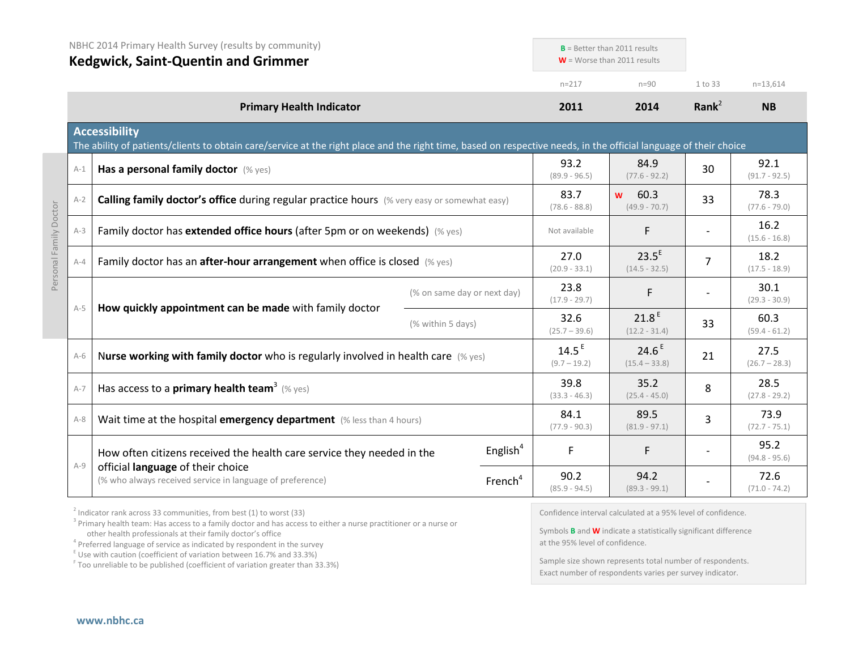|                        | NBHC 2014 Primary Health Survey (results by community)<br><b>Kedgwick, Saint-Quentin and Grimmer</b> |                                                                                                                                                                                           | $B =$ Better than 2011 results<br>$W =$ Worse than 2011 results |                             |                                     |                                      |                         |                         |
|------------------------|------------------------------------------------------------------------------------------------------|-------------------------------------------------------------------------------------------------------------------------------------------------------------------------------------------|-----------------------------------------------------------------|-----------------------------|-------------------------------------|--------------------------------------|-------------------------|-------------------------|
|                        |                                                                                                      |                                                                                                                                                                                           |                                                                 |                             | $n = 217$                           | $n=90$                               | 1 to 33                 | $n=13,614$              |
|                        |                                                                                                      | <b>Primary Health Indicator</b>                                                                                                                                                           |                                                                 |                             | 2011                                | 2014                                 | Rank $2$                | <b>NB</b>               |
|                        |                                                                                                      | <b>Accessibility</b><br>The ability of patients/clients to obtain care/service at the right place and the right time, based on respective needs, in the official language of their choice |                                                                 |                             |                                     |                                      |                         |                         |
|                        | $A-1$                                                                                                | Has a personal family doctor (% yes)                                                                                                                                                      |                                                                 |                             | 93.2<br>$(89.9 - 96.5)$             | 84.9<br>$(77.6 - 92.2)$              | 30                      | 92.1<br>$(91.7 - 92.5)$ |
|                        | $A-2$                                                                                                | <b>Calling family doctor's office during regular practice hours</b> (% very easy or somewhat easy)                                                                                        |                                                                 |                             | 83.7<br>$(78.6 - 88.8)$             | 60.3<br><b>W</b><br>$(49.9 - 70.7)$  | 33                      | 78.3<br>$(77.6 - 79.0)$ |
| Personal Family Doctor | $A-3$                                                                                                | Family doctor has extended office hours (after 5pm or on weekends) (% yes)                                                                                                                |                                                                 |                             | Not available                       | F                                    |                         | 16.2<br>$(15.6 - 16.8)$ |
|                        | $A - 4$                                                                                              | Family doctor has an after-hour arrangement when office is closed (% yes)                                                                                                                 |                                                                 | 27.0<br>$(20.9 - 33.1)$     | $23.5^E$<br>$(14.5 - 32.5)$         | $\overline{7}$                       | 18.2<br>$(17.5 - 18.9)$ |                         |
|                        |                                                                                                      | How quickly appointment can be made with family doctor                                                                                                                                    |                                                                 | (% on same day or next day) | 23.8<br>$(17.9 - 29.7)$             | F                                    |                         | 30.1<br>$(29.3 - 30.9)$ |
|                        | $A-5$                                                                                                |                                                                                                                                                                                           | (% within 5 days)                                               |                             | 32.6<br>$(25.7 - 39.6)$             | 21.8 <sup>E</sup><br>$(12.2 - 31.4)$ | 33                      | 60.3<br>$(59.4 - 61.2)$ |
|                        | $A-6$                                                                                                | Nurse working with family doctor who is regularly involved in health care $(\%$ yes)                                                                                                      |                                                                 |                             | 14.5 <sup>E</sup><br>$(9.7 - 19.2)$ | 24.6 <sup>E</sup><br>$(15.4 - 33.8)$ | 21                      | 27.5<br>$(26.7 - 28.3)$ |
|                        | $A-7$                                                                                                | Has access to a <b>primary health team</b> <sup>3</sup> (% yes)                                                                                                                           |                                                                 |                             | 39.8<br>$(33.3 - 46.3)$             | 35.2<br>$(25.4 - 45.0)$              | 8                       | 28.5<br>$(27.8 - 29.2)$ |
|                        | $A-8$                                                                                                | Wait time at the hospital emergency department (% less than 4 hours)                                                                                                                      |                                                                 |                             | 84.1<br>$(77.9 - 90.3)$             | 89.5<br>$(81.9 - 97.1)$              | 3                       | 73.9<br>$(72.7 - 75.1)$ |
|                        | $A-9$                                                                                                | How often citizens received the health care service they needed in the                                                                                                                    |                                                                 | English $4$                 | F                                   | F                                    |                         | 95.2<br>$(94.8 - 95.6)$ |
|                        |                                                                                                      | official language of their choice<br>(% who always received service in language of preference)                                                                                            |                                                                 | French <sup>4</sup>         | 90.2<br>$(85.9 - 94.5)$             | 94.2<br>$(89.3 - 99.1)$              |                         | 72.6<br>$(71.0 - 74.2)$ |

 $2$  Indicator rank across 33 communities, from best (1) to worst (33)

<sup>3</sup> Primary health team: Has access to a family doctor and has access to either a nurse practitioner or a nurse or other health professionals at their family doctor's office

 $\frac{1}{2}$  Use with caution (coefficient of variation between 16.7% and 33.3%)

<sup>F</sup> Too unreliable to be published (coefficient of variation greater than 33.3%)

Confidence interval calculated at a 95% level of confidence.

Symbols **B** and **W** indicate a statistically significant difference at the 95% level of confidence.

Sample size shown represents total number of respondents. Exact number of respondents varies per survey indicator.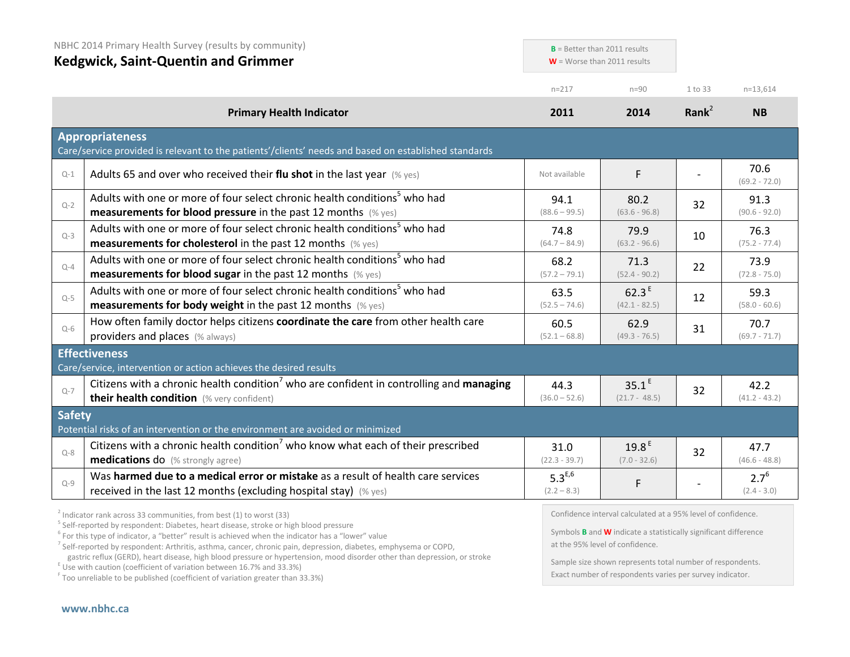| NBHC 2014 Primary Health Survey (results by community) |                                                                                                                                                               | $B =$ Better than 2011 results<br>$W =$ Worse than 2011 results |                                                              |          |                            |
|--------------------------------------------------------|---------------------------------------------------------------------------------------------------------------------------------------------------------------|-----------------------------------------------------------------|--------------------------------------------------------------|----------|----------------------------|
|                                                        | <b>Kedgwick, Saint-Quentin and Grimmer</b>                                                                                                                    |                                                                 |                                                              |          |                            |
|                                                        |                                                                                                                                                               | $n = 217$                                                       | $n = 90$                                                     | 1 to 33  | $n=13,614$                 |
|                                                        | <b>Primary Health Indicator</b>                                                                                                                               | 2011                                                            | 2014                                                         | Rank $2$ | <b>NB</b>                  |
|                                                        | <b>Appropriateness</b><br>Care/service provided is relevant to the patients'/clients' needs and based on established standards                                |                                                                 |                                                              |          |                            |
| $Q-1$                                                  | Adults 65 and over who received their flu shot in the last year $(\%$ yes)                                                                                    | Not available                                                   | F                                                            |          | 70.6<br>$(69.2 - 72.0)$    |
| $Q-2$                                                  | Adults with one or more of four select chronic health conditions <sup>5</sup> who had<br><b>measurements for blood pressure</b> in the past 12 months (% yes) | 94.1<br>$(88.6 - 99.5)$                                         | 80.2<br>$(63.6 - 96.8)$                                      | 32       | 91.3<br>$(90.6 - 92.0)$    |
| $Q-3$                                                  | Adults with one or more of four select chronic health conditions <sup>5</sup> who had<br><b>measurements for cholesterol</b> in the past 12 months (% yes)    | 74.8<br>$(64.7 - 84.9)$                                         | 79.9<br>$(63.2 - 96.6)$                                      | 10       | 76.3<br>$(75.2 - 77.4)$    |
| $Q - 4$                                                | Adults with one or more of four select chronic health conditions <sup>5</sup> who had<br><b>measurements for blood sugar in the past 12 months</b> (% yes)    | 68.2<br>$(57.2 - 79.1)$                                         | 71.3<br>$(52.4 - 90.2)$                                      | 22       | 73.9<br>$(72.8 - 75.0)$    |
| $Q-5$                                                  | Adults with one or more of four select chronic health conditions <sup>5</sup> who had<br><b>measurements for body weight</b> in the past 12 months (% yes)    | 63.5<br>$(52.5 - 74.6)$                                         | 62.3 <sup>E</sup><br>$(42.1 - 82.5)$                         | 12       | 59.3<br>$(58.0 - 60.6)$    |
| $Q-6$                                                  | How often family doctor helps citizens coordinate the care from other health care<br>providers and places (% always)                                          | 60.5<br>$(52.1 - 68.8)$                                         | 62.9<br>$(49.3 - 76.5)$                                      | 31       | 70.7<br>$(69.7 - 71.7)$    |
|                                                        | <b>Effectiveness</b><br>Care/service, intervention or action achieves the desired results                                                                     |                                                                 |                                                              |          |                            |
| $Q - 7$                                                | Citizens with a chronic health condition <sup>7</sup> who are confident in controlling and managing<br>their health condition (% very confident)              | 44.3<br>$(36.0 - 52.6)$                                         | $35.1^E$<br>$(21.7 - 48.5)$                                  | 32       | 42.2<br>$(41.2 - 43.2)$    |
| <b>Safety</b>                                          | Potential risks of an intervention or the environment are avoided or minimized                                                                                |                                                                 |                                                              |          |                            |
| $O - 8$                                                | Citizens with a chronic health condition <sup>7</sup> who know what each of their prescribed<br><b>medications do</b> (% strongly agree)                      | 31.0<br>$(22.3 - 39.7)$                                         | 19.8 <sup>E</sup><br>$(7.0 - 32.6)$                          | 32       | 47.7<br>$(46.6 - 48.8)$    |
| $Q - 9$                                                | Was harmed due to a medical error or mistake as a result of health care services<br>received in the last 12 months (excluding hospital stay) (% yes)          | $5.3^{E,6}$<br>$(2.2 - 8.3)$                                    | F                                                            |          | $2.7^{6}$<br>$(2.4 - 3.0)$ |
|                                                        | $3$ Indicator rank across 33 communities, from best (1) to worst (33)                                                                                         |                                                                 | Confidence interval calculated at a 95% level of confidence. |          |                            |

<sup>5</sup> Self-reported by respondent: Diabetes, heart disease, stroke or high blood pressure

 $6$  For this type of indicator, a "better" result is achieved when the indicator has a "lower" value

<sup>7</sup> Self-reported by respondent: Arthritis, asthma, cancer, chronic pain, depression, diabetes, emphysema or COPD,

gastric reflux (GERD), heart disease, high blood pressure or hypertension, mood disorder other than depression, or stroke E Use with caution (coefficient of variation between 16.7% and 33.3%)

<sup>F</sup> Too unreliable to be published (coefficient of variation greater than 33.3%)

Confidence interval calculated at a 95% level of confidence.

Symbols **B** and **W** indicate a statistically significant difference at the 95% level of confidence.

Sample size shown represents total number of respondents. Exact number of respondents varies per survey indicator.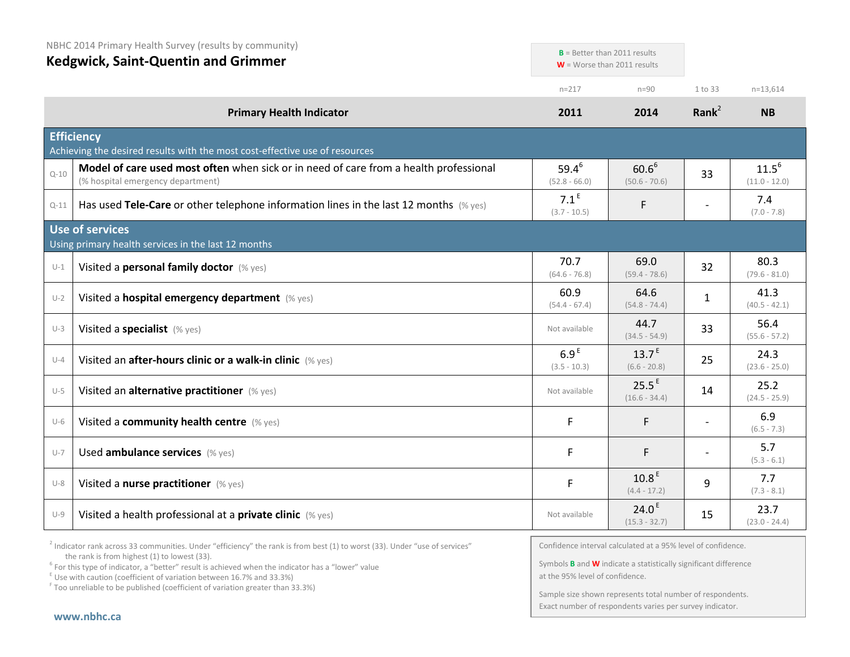| NBHC 2014 Primary Health Survey (results by community)<br><b>Kedgwick, Saint-Quentin and Grimmer</b> |                                                                                                                            | $B =$ Better than 2011 results<br>$W =$ Worse than 2011 results |                                      |                          |                               |
|------------------------------------------------------------------------------------------------------|----------------------------------------------------------------------------------------------------------------------------|-----------------------------------------------------------------|--------------------------------------|--------------------------|-------------------------------|
|                                                                                                      |                                                                                                                            | $n = 217$                                                       | $n=90$                               | 1 to 33                  | $n=13,614$                    |
|                                                                                                      | <b>Primary Health Indicator</b>                                                                                            | 2011                                                            | 2014                                 | Rank $2$                 | <b>NB</b>                     |
|                                                                                                      | <b>Efficiency</b><br>Achieving the desired results with the most cost-effective use of resources                           |                                                                 |                                      |                          |                               |
| $Q - 10$                                                                                             | Model of care used most often when sick or in need of care from a health professional<br>(% hospital emergency department) | $59.4^{6}$<br>$(52.8 - 66.0)$                                   | $60.6^6$<br>$(50.6 - 70.6)$          | 33                       | $11.5^{6}$<br>$(11.0 - 12.0)$ |
| $Q - 11$                                                                                             | Has used Tele-Care or other telephone information lines in the last 12 months (% yes)                                      | 7.1 <sup>E</sup><br>$(3.7 - 10.5)$                              | F                                    | $\overline{\phantom{a}}$ | 7.4<br>$(7.0 - 7.8)$          |
|                                                                                                      | <b>Use of services</b><br>Using primary health services in the last 12 months                                              |                                                                 |                                      |                          |                               |
| $U-1$                                                                                                | Visited a personal family doctor (% yes)                                                                                   | 70.7<br>$(64.6 - 76.8)$                                         | 69.0<br>$(59.4 - 78.6)$              | 32                       | 80.3<br>$(79.6 - 81.0)$       |
| $U-2$                                                                                                | Visited a hospital emergency department (% yes)                                                                            | 60.9<br>$(54.4 - 67.4)$                                         | 64.6<br>$(54.8 - 74.4)$              | 1                        | 41.3<br>$(40.5 - 42.1)$       |
| $U-3$                                                                                                | Visited a specialist (% yes)                                                                                               | Not available                                                   | 44.7<br>$(34.5 - 54.9)$              | 33                       | 56.4<br>$(55.6 - 57.2)$       |
| $U - 4$                                                                                              | Visited an after-hours clinic or a walk-in clinic (% yes)                                                                  | 6.9 <sup>E</sup><br>$(3.5 - 10.3)$                              | $13.7^E$<br>$(6.6 - 20.8)$           | 25                       | 24.3<br>$(23.6 - 25.0)$       |
| $U-5$                                                                                                | Visited an alternative practitioner (% yes)                                                                                | Not available                                                   | 25.5 <sup>E</sup><br>$(16.6 - 34.4)$ | 14                       | 25.2<br>$(24.5 - 25.9)$       |
| $U-6$                                                                                                | Visited a community health centre (% yes)                                                                                  | F                                                               | F                                    |                          | 6.9<br>$(6.5 - 7.3)$          |
| $U-7$                                                                                                | Used ambulance services (% yes)                                                                                            | F                                                               | F                                    |                          | 5.7<br>$(5.3 - 6.1)$          |
| $U-8$                                                                                                | Visited a nurse practitioner (% yes)                                                                                       | F                                                               | 10.8 <sup>E</sup><br>$(4.4 - 17.2)$  | 9                        | 7.7<br>$(7.3 - 8.1)$          |
| $U-9$                                                                                                | Visited a health professional at a private clinic (% yes)                                                                  | Not available                                                   | 24.0 <sup>E</sup><br>$(15.3 - 32.7)$ | 15                       | 23.7<br>$(23.0 - 24.4)$       |

 $2$  Indicator rank across 33 communities. Under "efficiency" the rank is from best (1) to worst (33). Under "use of services" the rank is from highest (1) to lowest (33).

<sup>6</sup> For this type of indicator, a "better" result is achieved when the indicator has a "lower" value  $E$ <sup>E</sup> Use with caution (coefficient of variation between 16.7% and 33.3%)

 $F$  Too unreliable to be published (coefficient of variation greater than 33.3%)

Confidence interval calculated at a 95% level of confidence.

Symbols **B** and **W** indicate a statistically significant difference at the 95% level of confidence.

Sample size shown represents total number of respondents. Exact number of respondents varies per survey indicator.